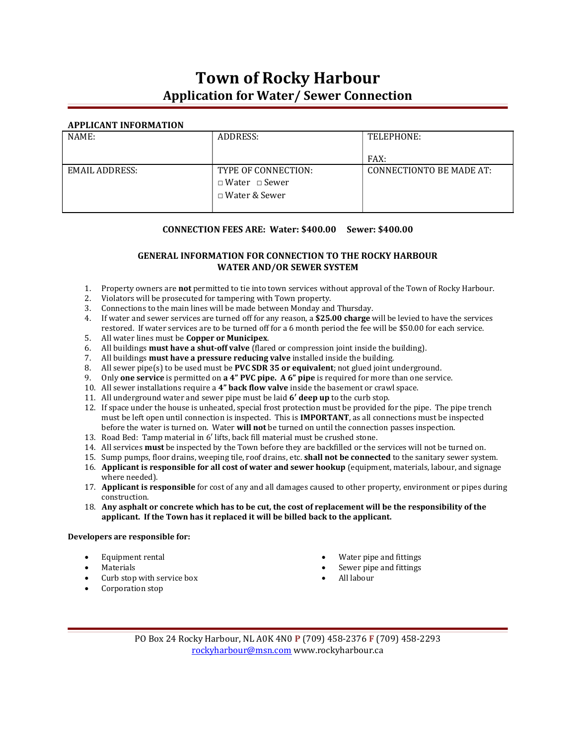# Town of Rocky Harbour Application for Water/ Sewer Connection

### APPLICANT INFORMATION

| NAME:          | ADDRESS:                  | TELEPHONE:                      |  |
|----------------|---------------------------|---------------------------------|--|
|                |                           |                                 |  |
|                |                           | FAX:                            |  |
| EMAIL ADDRESS: | TYPE OF CONNECTION:       | <b>CONNECTIONTO BE MADE AT:</b> |  |
|                | $\Box$ Water $\Box$ Sewer |                                 |  |
|                | □ Water & Sewer           |                                 |  |
|                |                           |                                 |  |

### CONNECTION FEES ARE: Water: \$400.00 Sewer: \$400.00

## GENERAL INFORMATION FOR CONNECTION TO THE ROCKY HARBOUR WATER AND/OR SEWER SYSTEM

- 1. Property owners are not permitted to tie into town services without approval of the Town of Rocky Harbour.
- 2. Violators will be prosecuted for tampering with Town property.
- 3. Connections to the main lines will be made between Monday and Thursday.
- 4. If water and sewer services are turned off for any reason, a \$25.00 charge will be levied to have the services restored. If water services are to be turned off for a 6 month period the fee will be \$50.00 for each service.
- 5. All water lines must be Copper or Municipex.
- 6. All buildings must have a shut-off valve (flared or compression joint inside the building).
- 7. All buildings must have a pressure reducing valve installed inside the building.
- 8. All sewer pipe(s) to be used must be PVC SDR 35 or equivalent; not glued joint underground.
- 9. Only one service is permitted on a 4" PVC pipe. A 6" pipe is required for more than one service.
- 10. All sewer installations require a 4" back flow valve inside the basement or crawl space.
- 11. All underground water and sewer pipe must be laid 6' deep up to the curb stop.
- 12. If space under the house is unheated, special frost protection must be provided for the pipe. The pipe trench must be left open until connection is inspected. This is **IMPORTANT**, as all connections must be inspected before the water is turned on. Water will not be turned on until the connection passes inspection.
- 13. Road Bed: Tamp material in 6′ lifts, back fill material must be crushed stone.
- 14. All services **must** be inspected by the Town before they are backfilled or the services will not be turned on.
- 15. Sump pumps, floor drains, weeping tile, roof drains, etc. **shall not be connected** to the sanitary sewer system.
- 16. Applicant is responsible for all cost of water and sewer hookup (equipment, materials, labour, and signage where needed).
- 17. **Applicant is responsible** for cost of any and all damages caused to other property, environment or pipes during construction.
- 18. Any asphalt or concrete which has to be cut, the cost of replacement will be the responsibility of the applicant. If the Town has it replaced it will be billed back to the applicant.

#### Developers are responsible for:

- Equipment rental
- Materials
- Curb stop with service box
- Corporation stop
- Water pipe and fittings
- Sewer pipe and fittings
- All labour
- PO Box 24 Rocky Harbour, NL A0K 4N0 P (709) 458-2376 F (709) 458-2293 rockyharbour@msn.com www.rockyharbour.ca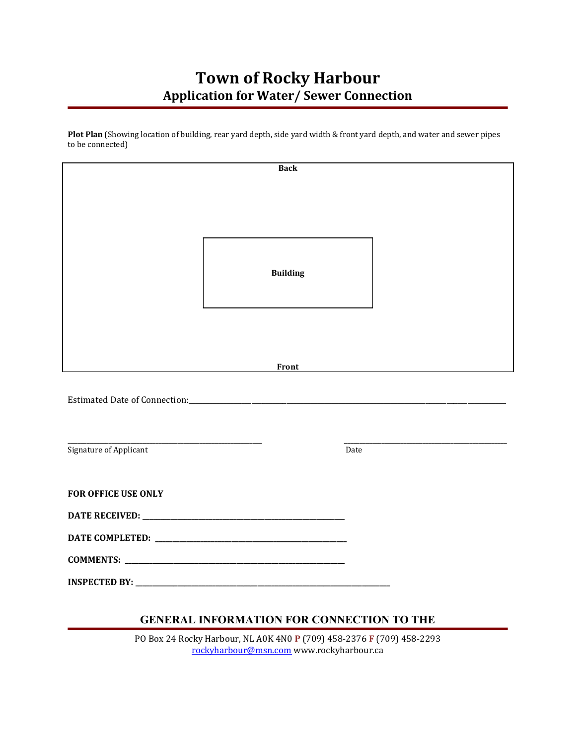# Town of Rocky Harbour Application for Water/ Sewer Connection

Plot Plan (Showing location of building, rear yard depth, side yard width & front yard depth, and water and sewer pipes to be connected)

| <b>Back</b>                |                                                                 |  |  |
|----------------------------|-----------------------------------------------------------------|--|--|
|                            |                                                                 |  |  |
|                            |                                                                 |  |  |
|                            |                                                                 |  |  |
|                            |                                                                 |  |  |
|                            | <b>Building</b>                                                 |  |  |
|                            |                                                                 |  |  |
|                            |                                                                 |  |  |
|                            |                                                                 |  |  |
|                            |                                                                 |  |  |
|                            | Front                                                           |  |  |
|                            |                                                                 |  |  |
|                            |                                                                 |  |  |
|                            |                                                                 |  |  |
|                            | <u> 1980 - Johann Barn, mars an t-Amerikaansk kommunister (</u> |  |  |
| Signature of Applicant     | Date                                                            |  |  |
|                            |                                                                 |  |  |
| <b>FOR OFFICE USE ONLY</b> |                                                                 |  |  |
|                            |                                                                 |  |  |
|                            |                                                                 |  |  |
|                            |                                                                 |  |  |
|                            |                                                                 |  |  |
|                            |                                                                 |  |  |

# GENERAL INFORMATION FOR CONNECTION TO THE

PO Box 24 Rocky Harbour, NL A0K 4N0 P (709) 458-2376 F (709) 458-2293 rockyharbour@msn.com www.rockyharbour.ca